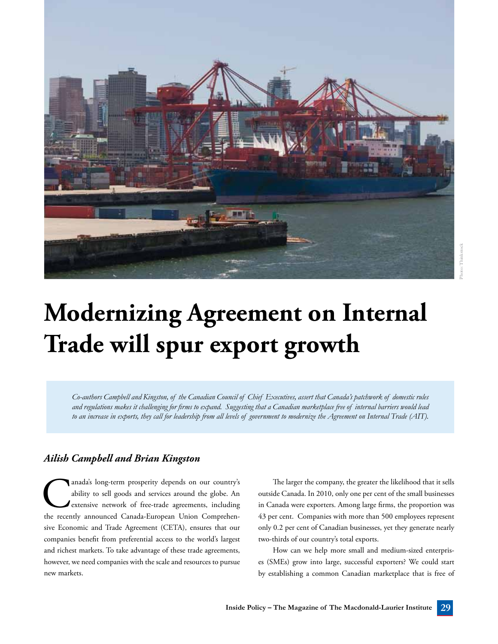

## **Modernizing Agreement on Internal Trade will spur export growth**

*Co-authors Campbell and Kingston, of the Canadian Council of Chief Executives, assert that Canada's patchwork of domestic rules and regulations makes it challenging for firms to expand. Suggesting that a Canadian marketplace free of internal barriers would lead to an increase in exports, they call for leadership from all levels of government to modernize the Agreement on Internal Trade (AIT).*

## *Ailish Campbell and Brian Kingston*

anada's long-term prosperity depends on our country's ability to sell goods and services around the globe. An extensive network of free-trade agreements, including the recently announced Canada-European Union Comprehenability to sell goods and services around the globe. An extensive network of free-trade agreements, including sive Economic and Trade Agreement (CETA), ensures that our companies benefit from preferential access to the world's largest and richest markets. To take advantage of these trade agreements, however, we need companies with the scale and resources to pursue new markets.

The larger the company, the greater the likelihood that it sells outside Canada. In 2010, only one per cent of the small businesses in Canada were exporters. Among large firms, the proportion was 43 per cent. Companies with more than 500 employees represent only 0.2 per cent of Canadian businesses, yet they generate nearly two-thirds of our country's total exports.

How can we help more small and medium-sized enterprises (SMEs) grow into large, successful exporters? We could start by establishing a common Canadian marketplace that is free of